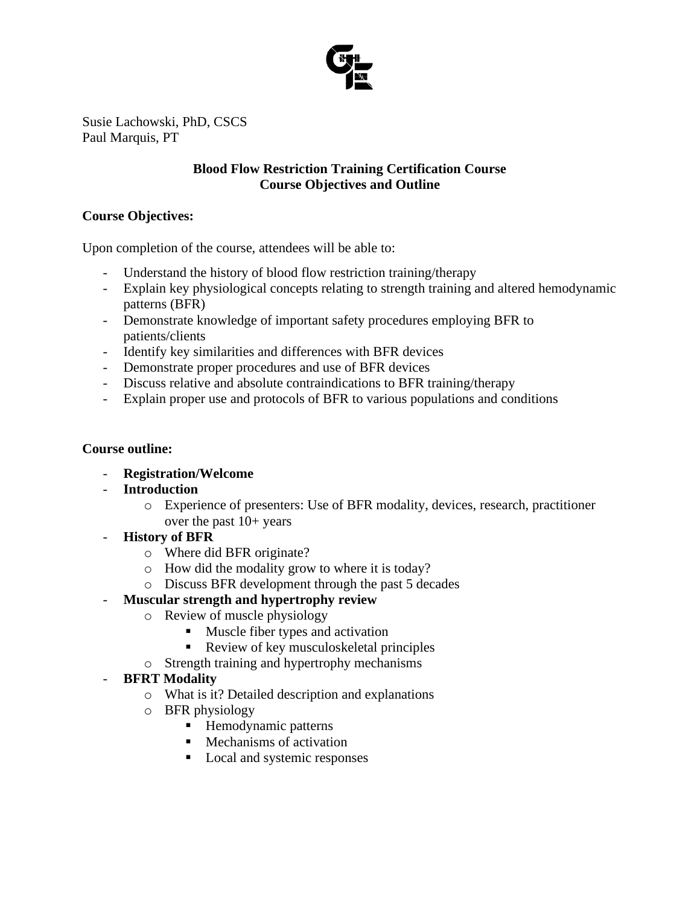

Susie Lachowski, PhD, CSCS Paul Marquis, PT

## **Blood Flow Restriction Training Certification Course Course Objectives and Outline**

## **Course Objectives:**

Upon completion of the course, attendees will be able to:

- Understand the history of blood flow restriction training/therapy
- Explain key physiological concepts relating to strength training and altered hemodynamic patterns (BFR)
- Demonstrate knowledge of important safety procedures employing BFR to patients/clients
- Identify key similarities and differences with BFR devices
- Demonstrate proper procedures and use of BFR devices
- Discuss relative and absolute contraindications to BFR training/therapy
- Explain proper use and protocols of BFR to various populations and conditions

### **Course outline:**

- **Registration/Welcome**
- **Introduction**
	- o Experience of presenters: Use of BFR modality, devices, research, practitioner over the past 10+ years
- **History of BFR**
	- o Where did BFR originate?
	- o How did the modality grow to where it is today?
	- o Discuss BFR development through the past 5 decades
- **Muscular strength and hypertrophy review**
	- o Review of muscle physiology
		- Muscle fiber types and activation
		- Review of key musculoskeletal principles
	- o Strength training and hypertrophy mechanisms

# - **BFRT Modality**

- o What is it? Detailed description and explanations
- o BFR physiology
	- Hemodynamic patterns
	- Mechanisms of activation
	- Local and systemic responses